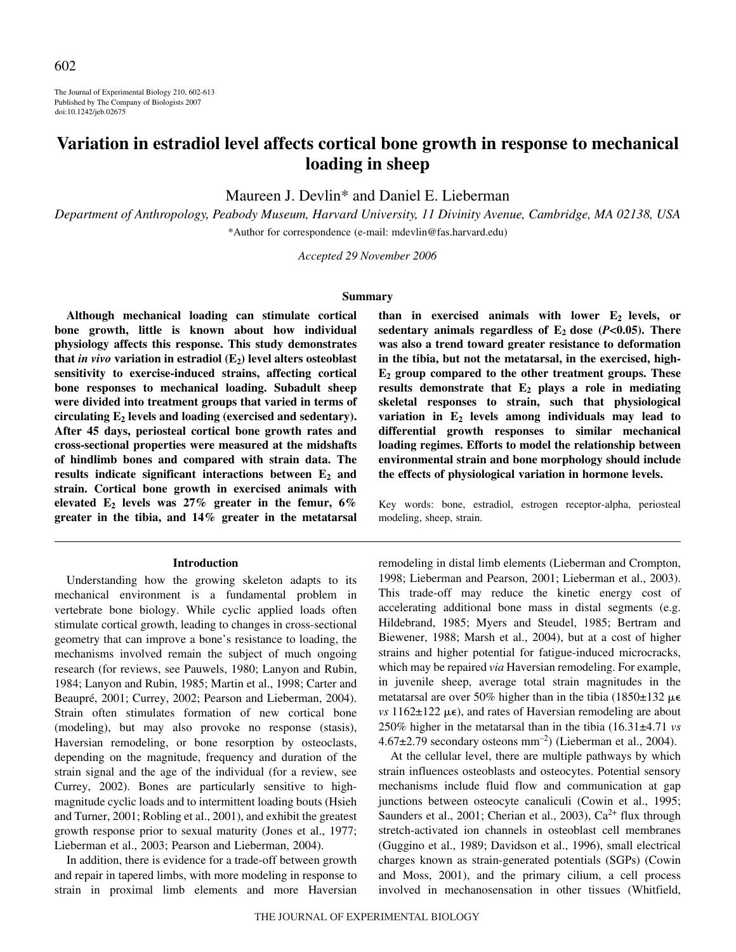The Journal of Experimental Biology 210, 602-613 Published by The Company of Biologists 2007 doi:10.1242/jeb.02675

# **Variation in estradiol level affects cortical bone growth in response to mechanical loading in sheep**

Maureen J. Devlin\* and Daniel E. Lieberman

*Department of Anthropology, Peabody Museum, Harvard University, 11 Divinity Avenue, Cambridge, MA 02138, USA* \*Author for correspondence (e-mail: mdevlin@fas.harvard.edu)

*Accepted 29 November 2006*

#### **Summary**

**Although mechanical loading can stimulate cortical bone growth, little is known about how individual physiology affects this response. This study demonstrates** that *in vivo* variation in estradiol  $(E_2)$  level alters osteoblast **sensitivity to exercise-induced strains, affecting cortical bone responses to mechanical loading. Subadult sheep were divided into treatment groups that varied in terms of circulating E2 levels and loading (exercised and sedentary). After 45 days, periosteal cortical bone growth rates and cross-sectional properties were measured at the midshafts of hindlimb bones and compared with strain data. The** results indicate significant interactions between  $E_2$  and **strain. Cortical bone growth in exercised animals with elevated E2 levels was 27% greater in the femur, 6% greater in the tibia, and 14% greater in the metatarsal**

#### **Introduction**

Understanding how the growing skeleton adapts to its mechanical environment is a fundamental problem in vertebrate bone biology. While cyclic applied loads often stimulate cortical growth, leading to changes in cross-sectional geometry that can improve a bone's resistance to loading, the mechanisms involved remain the subject of much ongoing research (for reviews, see Pauwels, 1980; Lanyon and Rubin, 1984; Lanyon and Rubin, 1985; Martin et al., 1998; Carter and Beaupré, 2001; Currey, 2002; Pearson and Lieberman, 2004). Strain often stimulates formation of new cortical bone (modeling), but may also provoke no response (stasis), Haversian remodeling, or bone resorption by osteoclasts, depending on the magnitude, frequency and duration of the strain signal and the age of the individual (for a review, see Currey, 2002). Bones are particularly sensitive to highmagnitude cyclic loads and to intermittent loading bouts (Hsieh and Turner, 2001; Robling et al., 2001), and exhibit the greatest growth response prior to sexual maturity (Jones et al., 1977; Lieberman et al., 2003; Pearson and Lieberman, 2004).

In addition, there is evidence for a trade-off between growth and repair in tapered limbs, with more modeling in response to strain in proximal limb elements and more Haversian than in exercised animals with lower E<sub>2</sub> levels, or sedentary animals regardless of  $E_2$  dose ( $P$ **<0.05).** There **was also a trend toward greater resistance to deformation in the tibia, but not the metatarsal, in the exercised, high-E2 group compared to the other treatment groups. These results demonstrate that E2 plays a role in mediating skeletal responses to strain, such that physiological variation in E2 levels among individuals may lead to differential growth responses to similar mechanical loading regimes. Efforts to model the relationship between environmental strain and bone morphology should include the effects of physiological variation in hormone levels.**

Key words: bone, estradiol, estrogen receptor-alpha, periosteal modeling, sheep, strain.

remodeling in distal limb elements (Lieberman and Crompton, 1998; Lieberman and Pearson, 2001; Lieberman et al., 2003). This trade-off may reduce the kinetic energy cost of accelerating additional bone mass in distal segments (e.g. Hildebrand, 1985; Myers and Steudel, 1985; Bertram and Biewener, 1988; Marsh et al., 2004), but at a cost of higher strains and higher potential for fatigue-induced microcracks, which may be repaired *via* Haversian remodeling. For example, in juvenile sheep, average total strain magnitudes in the metatarsal are over 50% higher than in the tibia (1850 $\pm$ 132  $\mu$  $\epsilon$  $vs$  1162 $\pm$ 122  $\mu$  $\epsilon$ ), and rates of Haversian remodeling are about 250% higher in the metatarsal than in the tibia (16.31±4.71 *vs*  $4.67\pm2.79$  secondary osteons mm<sup>-2</sup>) (Lieberman et al., 2004).

At the cellular level, there are multiple pathways by which strain influences osteoblasts and osteocytes. Potential sensory mechanisms include fluid flow and communication at gap junctions between osteocyte canaliculi (Cowin et al., 1995; Saunders et al., 2001; Cherian et al., 2003), Ca<sup>2+</sup> flux through stretch-activated ion channels in osteoblast cell membranes (Guggino et al., 1989; Davidson et al., 1996), small electrical charges known as strain-generated potentials (SGPs) (Cowin and Moss, 2001), and the primary cilium, a cell process involved in mechanosensation in other tissues (Whitfield,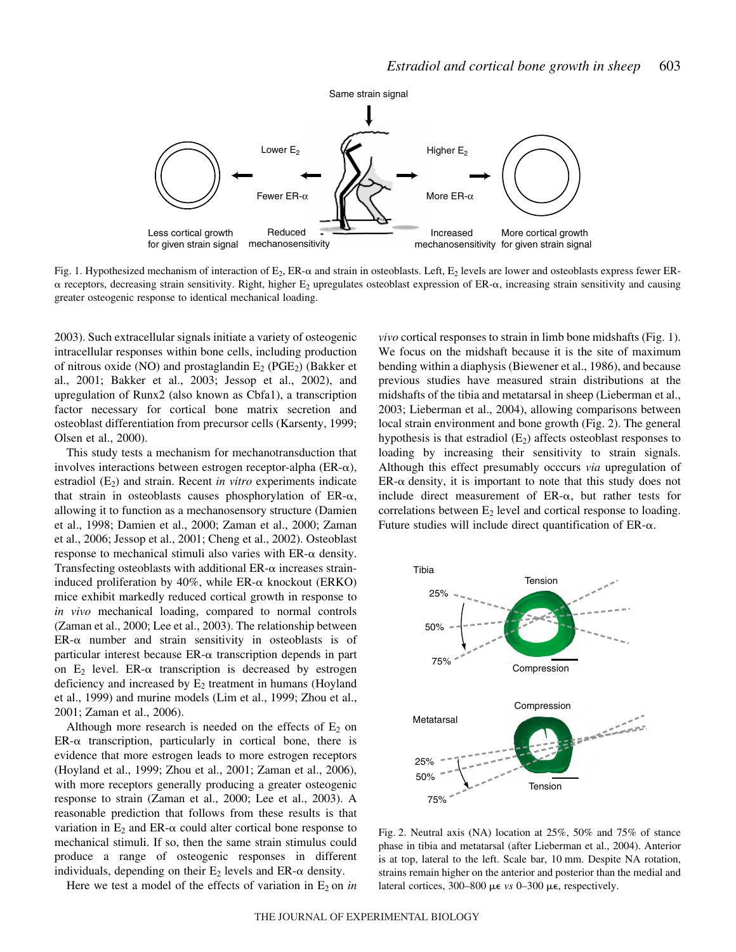

Fig. 1. Hypothesized mechanism of interaction of  $E_2$ , ER- $\alpha$  and strain in osteoblasts. Left,  $E_2$  levels are lower and osteoblasts express fewer ER- $\alpha$  receptors, decreasing strain sensitivity. Right, higher E<sub>2</sub> upregulates osteoblast expression of ER- $\alpha$ , increasing strain sensitivity and causing greater osteogenic response to identical mechanical loading.

2003). Such extracellular signals initiate a variety of osteogenic intracellular responses within bone cells, including production of nitrous oxide (NO) and prostaglandin  $E_2$  (PGE<sub>2</sub>) (Bakker et al., 2001; Bakker et al., 2003; Jessop et al., 2002), and upregulation of Runx2 (also known as Cbfa1), a transcription factor necessary for cortical bone matrix secretion and osteoblast differentiation from precursor cells (Karsenty, 1999; Olsen et al., 2000).

This study tests a mechanism for mechanotransduction that involves interactions between estrogen receptor-alpha ( $ER-\alpha$ ), estradiol (E<sub>2</sub>) and strain. Recent *in vitro* experiments indicate that strain in osteoblasts causes phosphorylation of  $ER-\alpha$ , allowing it to function as a mechanosensory structure (Damien et al., 1998; Damien et al., 2000; Zaman et al., 2000; Zaman et al., 2006; Jessop et al., 2001; Cheng et al., 2002). Osteoblast response to mechanical stimuli also varies with  $ER-\alpha$  density. Transfecting osteoblasts with additional  $ER-\alpha$  increases straininduced proliferation by 40%, while ER- $\alpha$  knockout (ERKO) mice exhibit markedly reduced cortical growth in response to *in vivo* mechanical loading, compared to normal controls (Zaman et al., 2000; Lee et al., 2003). The relationship between  $ER-\alpha$  number and strain sensitivity in osteoblasts is of particular interest because  $ER-\alpha$  transcription depends in part on  $E_2$  level. ER- $\alpha$  transcription is decreased by estrogen deficiency and increased by  $E_2$  treatment in humans (Hoyland et al., 1999) and murine models (Lim et al., 1999; Zhou et al., 2001; Zaman et al., 2006).

Although more research is needed on the effects of  $E_2$  on  $ER-\alpha$  transcription, particularly in cortical bone, there is evidence that more estrogen leads to more estrogen receptors (Hoyland et al., 1999; Zhou et al., 2001; Zaman et al., 2006), with more receptors generally producing a greater osteogenic response to strain (Zaman et al., 2000; Lee et al., 2003). A reasonable prediction that follows from these results is that variation in  $E_2$  and  $ER-\alpha$  could alter cortical bone response to mechanical stimuli. If so, then the same strain stimulus could produce a range of osteogenic responses in different individuals, depending on their  $E_2$  levels and  $ER-\alpha$  density.

Here we test a model of the effects of variation in  $E_2$  on *in* 

*vivo* cortical responses to strain in limb bone midshafts (Fig. 1). We focus on the midshaft because it is the site of maximum bending within a diaphysis (Biewener et al., 1986), and because previous studies have measured strain distributions at the midshafts of the tibia and metatarsal in sheep (Lieberman et al., 2003; Lieberman et al., 2004), allowing comparisons between local strain environment and bone growth (Fig. 2). The general hypothesis is that estradiol  $(E_2)$  affects osteoblast responses to loading by increasing their sensitivity to strain signals. Although this effect presumably occcurs *via* upregulation of  $ER-\alpha$  density, it is important to note that this study does not include direct measurement of  $ER-\alpha$ , but rather tests for correlations between  $E_2$  level and cortical response to loading. Future studies will include direct quantification of  $ER-\alpha$ .



Fig. 2. Neutral axis (NA) location at  $25\%$ ,  $50\%$  and  $75\%$  of stance phase in tibia and metatarsal (after Lieberman et al., 2004). Anterior is at top, lateral to the left. Scale bar, 10 mm. Despite NA rotation, strains remain higher on the anterior and posterior than the medial and lateral cortices, 300–800 με *vs* 0–300 με, respectively.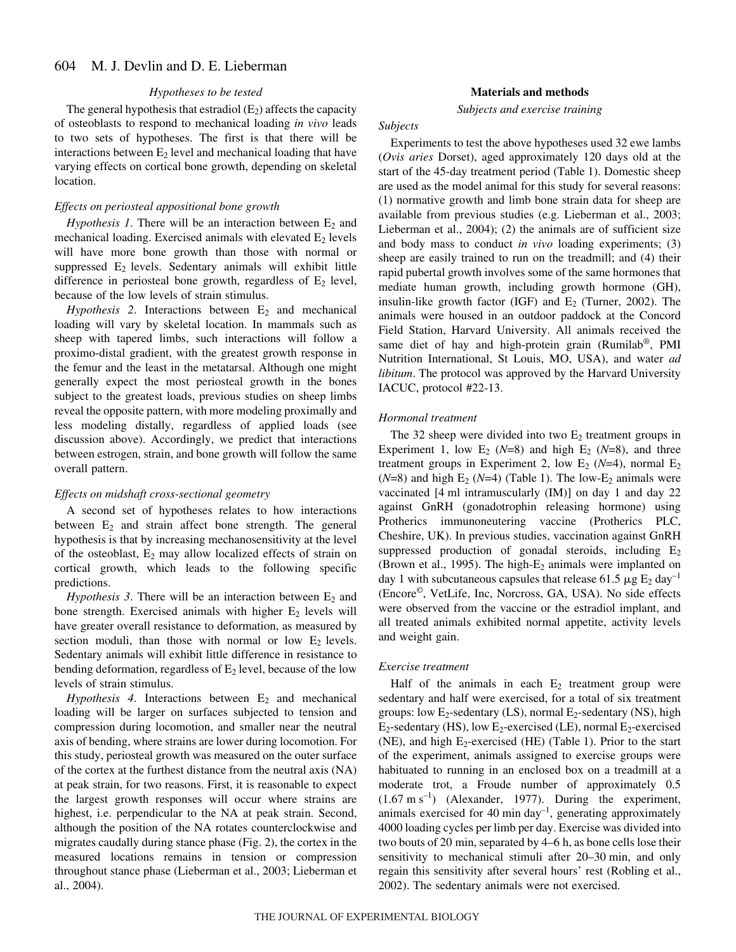#### *Hypotheses to be tested*

The general hypothesis that estradiol  $(E_2)$  affects the capacity of osteoblasts to respond to mechanical loading *in vivo* leads to two sets of hypotheses. The first is that there will be interactions between  $E_2$  level and mechanical loading that have varying effects on cortical bone growth, depending on skeletal location.

#### *Effects on periosteal appositional bone growth*

*Hypothesis 1*. There will be an interaction between  $E_2$  and mechanical loading. Exercised animals with elevated  $E_2$  levels will have more bone growth than those with normal or suppressed  $E_2$  levels. Sedentary animals will exhibit little difference in periosteal bone growth, regardless of  $E_2$  level, because of the low levels of strain stimulus.

 $Hypothesis$  2. Interactions between  $E_2$  and mechanical loading will vary by skeletal location. In mammals such as sheep with tapered limbs, such interactions will follow a proximo-distal gradient, with the greatest growth response in the femur and the least in the metatarsal. Although one might generally expect the most periosteal growth in the bones subject to the greatest loads, previous studies on sheep limbs reveal the opposite pattern, with more modeling proximally and less modeling distally, regardless of applied loads (see discussion above). Accordingly, we predict that interactions between estrogen, strain, and bone growth will follow the same overall pattern.

#### *Effects on midshaft cross-sectional geometry*

A second set of hypotheses relates to how interactions between  $E_2$  and strain affect bone strength. The general hypothesis is that by increasing mechanosensitivity at the level of the osteoblast,  $E_2$  may allow localized effects of strain on cortical growth, which leads to the following specific predictions.

*Hypothesis 3*. There will be an interaction between  $E_2$  and bone strength. Exercised animals with higher  $E_2$  levels will have greater overall resistance to deformation, as measured by section moduli, than those with normal or low  $E_2$  levels. Sedentary animals will exhibit little difference in resistance to bending deformation, regardless of  $E_2$  level, because of the low levels of strain stimulus.

 $Hypothesis$  4. Interactions between  $E_2$  and mechanical loading will be larger on surfaces subjected to tension and compression during locomotion, and smaller near the neutral axis of bending, where strains are lower during locomotion. For this study, periosteal growth was measured on the outer surface of the cortex at the furthest distance from the neutral axis (NA) at peak strain, for two reasons. First, it is reasonable to expect the largest growth responses will occur where strains are highest, i.e. perpendicular to the NA at peak strain. Second, although the position of the NA rotates counterclockwise and migrates caudally during stance phase (Fig. 2), the cortex in the measured locations remains in tension or compression throughout stance phase (Lieberman et al., 2003; Lieberman et al., 2004).

#### **Materials and methods**

*Subjects and exercise training*

#### *Subjects*

Experiments to test the above hypotheses used 32 ewe lambs (*Ovis aries* Dorset), aged approximately 120 days old at the start of the 45-day treatment period (Table 1). Domestic sheep are used as the model animal for this study for several reasons: (1) normative growth and limb bone strain data for sheep are available from previous studies (e.g. Lieberman et al., 2003; Lieberman et al., 2004); (2) the animals are of sufficient size and body mass to conduct *in vivo* loading experiments; (3) sheep are easily trained to run on the treadmill; and (4) their rapid pubertal growth involves some of the same hormones that mediate human growth, including growth hormone (GH), insulin-like growth factor (IGF) and  $E_2$  (Turner, 2002). The animals were housed in an outdoor paddock at the Concord Field Station, Harvard University. All animals received the same diet of hay and high-protein grain (Rumilab<sup>®</sup>, PMI Nutrition International, St Louis, MO, USA), and water *ad libitum*. The protocol was approved by the Harvard University IACUC, protocol #22-13.

#### *Hormonal treatment*

The 32 sheep were divided into two  $E_2$  treatment groups in Experiment 1, low  $E_2$  (*N*=8) and high  $E_2$  (*N*=8), and three treatment groups in Experiment 2, low  $E_2$  ( $N=4$ ), normal  $E_2$  $(N=8)$  and high  $E_2$  ( $N=4$ ) (Table 1). The low- $E_2$  animals were vaccinated [4 ml intramuscularly (IM)] on day 1 and day 22 against GnRH (gonadotrophin releasing hormone) using Protherics immunoneutering vaccine (Protherics PLC, Cheshire, UK). In previous studies, vaccination against GnRH suppressed production of gonadal steroids, including  $E_2$ (Brown et al., 1995). The high- $E_2$  animals were implanted on day 1 with subcutaneous capsules that release 61.5  $\mu$ g E<sub>2</sub> day<sup>-1</sup> (Encore©, VetLife, Inc, Norcross, GA, USA). No side effects were observed from the vaccine or the estradiol implant, and all treated animals exhibited normal appetite, activity levels and weight gain.

#### *Exercise treatment*

Half of the animals in each  $E_2$  treatment group were sedentary and half were exercised, for a total of six treatment groups: low  $E_2$ -sedentary (LS), normal  $E_2$ -sedentary (NS), high  $E_2$ -sedentary (HS), low  $E_2$ -exercised (LE), normal  $E_2$ -exercised (NE), and high  $E_2$ -exercised (HE) (Table 1). Prior to the start of the experiment, animals assigned to exercise groups were habituated to running in an enclosed box on a treadmill at a moderate trot, a Froude number of approximately 0.5  $(1.67 \text{ m s}^{-1})$  (Alexander, 1977). During the experiment, animals exercised for 40 min day<sup>-1</sup>, generating approximately 4000 loading cycles per limb per day. Exercise was divided into two bouts of 20 min, separated by 4–6 h, as bone cells lose their sensitivity to mechanical stimuli after 20–30 min, and only regain this sensitivity after several hours' rest (Robling et al., 2002). The sedentary animals were not exercised.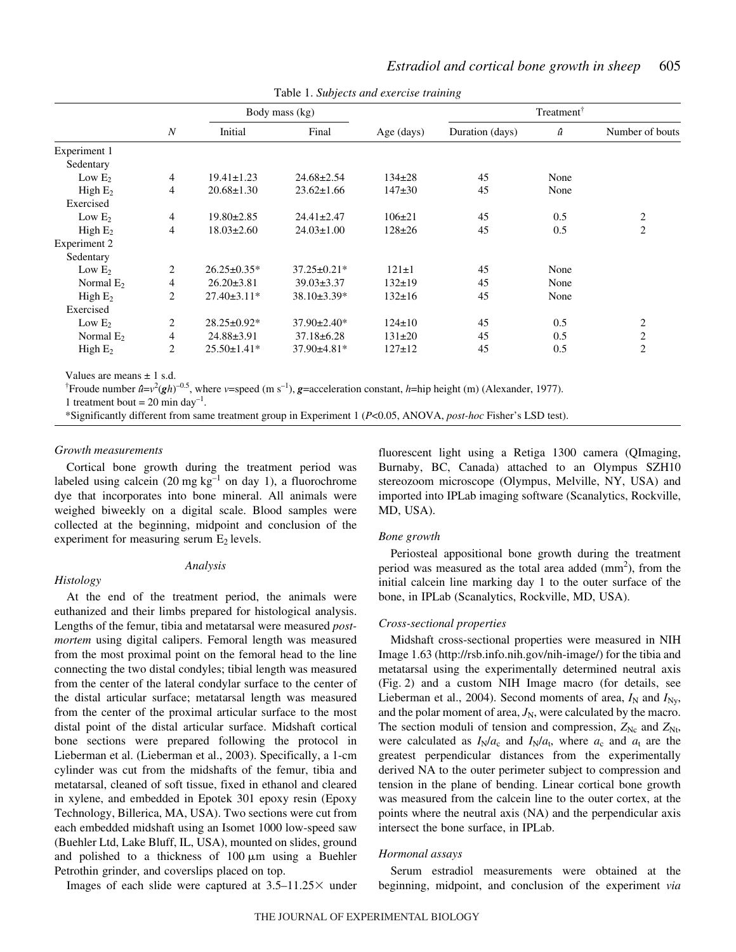|                           |                  | Body mass (kg)    |                   |              |                 |      |                 |
|---------------------------|------------------|-------------------|-------------------|--------------|-----------------|------|-----------------|
|                           | $\boldsymbol{N}$ | Initial           | Final             | Age (days)   | Duration (days) | û    | Number of bouts |
| Experiment 1              |                  |                   |                   |              |                 |      |                 |
| Sedentary                 |                  |                   |                   |              |                 |      |                 |
| Low $E_2$                 | 4                | $19.41 \pm 1.23$  | $24.68 \pm 2.54$  | $134\pm 28$  | 45              | None |                 |
| High $E_2$                | 4                | $20.68 \pm 1.30$  | $23.62 \pm 1.66$  | $147+30$     | 45              | None |                 |
| Exercised                 |                  |                   |                   |              |                 |      |                 |
| Low $E_2$                 | 4                | $19.80 \pm 2.85$  | $24.41 \pm 2.47$  | $106 \pm 21$ | 45              | 0.5  | 2               |
| High E <sub>2</sub>       | 4                | $18.03 \pm 2.60$  | $24.03 \pm 1.00$  | $128 \pm 26$ | 45              | 0.5  | $\overline{c}$  |
| Experiment 2              |                  |                   |                   |              |                 |      |                 |
| Sedentary                 |                  |                   |                   |              |                 |      |                 |
| Low $E_2$                 | 2                | $26.25 \pm 0.35*$ | $37.25 \pm 0.21*$ | $121 \pm 1$  | 45              | None |                 |
| Normal $E_2$              | 4                | $26.20 \pm 3.81$  | $39.03 \pm 3.37$  | $132 \pm 19$ | 45              | None |                 |
| High $E_2$                | $\overline{c}$   | $27.40 \pm 3.11*$ | $38.10\pm3.39*$   | $132 \pm 16$ | 45              | None |                 |
| Exercised                 |                  |                   |                   |              |                 |      |                 |
| Low $E_2$                 | 2                | 28.25±0.92*       | $37.90 \pm 2.40*$ | $124 \pm 10$ | 45              | 0.5  | $\overline{c}$  |
| Normal $E_2$              | 4                | $24.88 \pm 3.91$  | $37.18 \pm 6.28$  | $131 \pm 20$ | 45              | 0.5  | $\sqrt{2}$      |
| High $E_2$                | 2                | $25.50 \pm 1.41*$ | $37.90 \pm 4.81*$ | $127 \pm 12$ | 45              | 0.5  | $\overline{c}$  |
| Values are means $+1$ s d |                  |                   |                   |              |                 |      |                 |

Table 1. *Subjects and exercise training* 

Values are means ± 1 s.d.

<sup>†</sup> Froude number  $\hat{u} = v^2 (gh)^{-0.5}$ , where *v*=speed (m s<sup>-1</sup>), **g**=acceleration constant, *h*=hip height (m) (Alexander, 1977).

1 treatment bout = 20 min day<sup>-1</sup>.

\*Significantly different from same treatment group in Experiment 1 (*P*<0.05, ANOVA, *post-hoc* Fisher's LSD test).

#### *Growth measurements*

Cortical bone growth during the treatment period was labeled using calcein (20 mg  $kg^{-1}$  on day 1), a fluorochrome dye that incorporates into bone mineral. All animals were weighed biweekly on a digital scale. Blood samples were collected at the beginning, midpoint and conclusion of the experiment for measuring serum  $E_2$  levels.

#### *Analysis*

### *Histology*

At the end of the treatment period, the animals were euthanized and their limbs prepared for histological analysis. Lengths of the femur, tibia and metatarsal were measured *postmortem* using digital calipers. Femoral length was measured from the most proximal point on the femoral head to the line connecting the two distal condyles; tibial length was measured from the center of the lateral condylar surface to the center of the distal articular surface; metatarsal length was measured from the center of the proximal articular surface to the most distal point of the distal articular surface. Midshaft cortical bone sections were prepared following the protocol in Lieberman et al. (Lieberman et al., 2003). Specifically, a 1-cm cylinder was cut from the midshafts of the femur, tibia and metatarsal, cleaned of soft tissue, fixed in ethanol and cleared in xylene, and embedded in Epotek 301 epoxy resin (Epoxy Technology, Billerica, MA, USA). Two sections were cut from each embedded midshaft using an Isomet 1000 low-speed saw (Buehler Ltd, Lake Bluff, IL, USA), mounted on slides, ground and polished to a thickness of  $100 \mu m$  using a Buehler Petrothin grinder, and coverslips placed on top.

Images of each slide were captured at  $3.5-11.25\times$  under

fluorescent light using a Retiga 1300 camera (QImaging, Burnaby, BC, Canada) attached to an Olympus SZH10 stereozoom microscope (Olympus, Melville, NY, USA) and imported into IPLab imaging software (Scanalytics, Rockville, MD, USA).

#### *Bone growth*

Periosteal appositional bone growth during the treatment period was measured as the total area added  $(mm<sup>2</sup>)$ , from the initial calcein line marking day 1 to the outer surface of the bone, in IPLab (Scanalytics, Rockville, MD, USA).

#### *Cross-sectional properties*

Midshaft cross-sectional properties were measured in NIH Image 1.63 (http://rsb.info.nih.gov/nih-image/) for the tibia and metatarsal using the experimentally determined neutral axis (Fig. 2) and a custom NIH Image macro (for details, see Lieberman et al., 2004). Second moments of area,  $I_N$  and  $I_{N_V}$ , and the polar moment of area,  $J_N$ , were calculated by the macro. The section moduli of tension and compression,  $Z_{\text{Nc}}$  and  $Z_{\text{Nt}}$ , were calculated as  $I_N/a_c$  and  $I_N/a_t$ , where  $a_c$  and  $a_t$  are the greatest perpendicular distances from the experimentally derived NA to the outer perimeter subject to compression and tension in the plane of bending. Linear cortical bone growth was measured from the calcein line to the outer cortex, at the points where the neutral axis (NA) and the perpendicular axis intersect the bone surface, in IPLab.

#### *Hormonal assays*

Serum estradiol measurements were obtained at the beginning, midpoint, and conclusion of the experiment *via*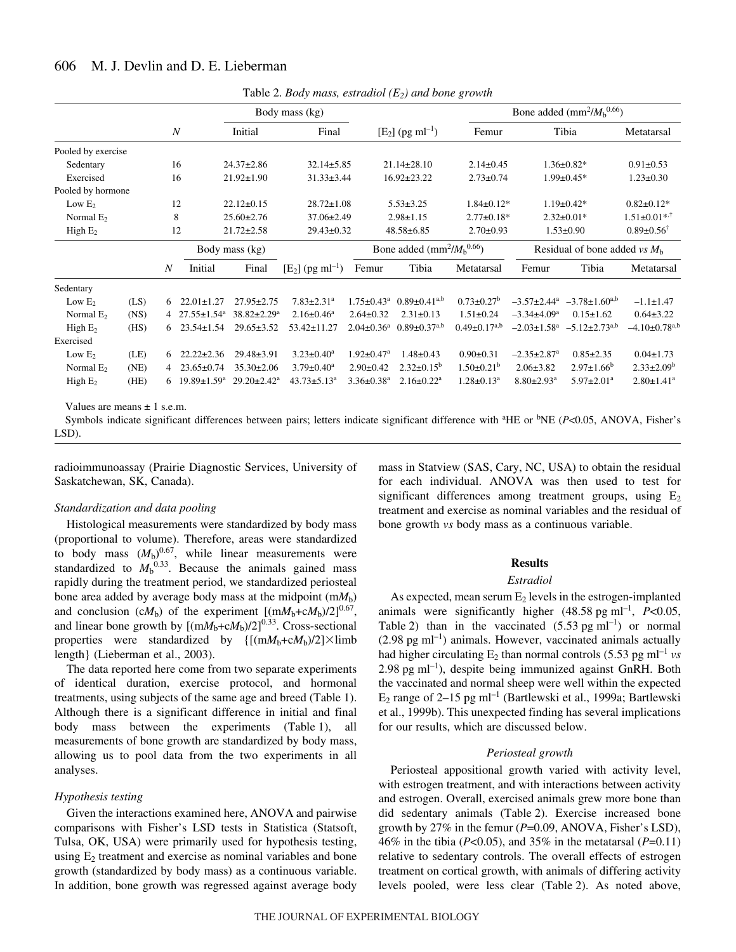|                      |  |                  |                                 |                    | Body mass (kg)                 |                              |                                                      |                       |                               | Bone added (mm <sup>2</sup> / $Mb^{0.66}$ )                   |                                 |  |
|----------------------|--|------------------|---------------------------------|--------------------|--------------------------------|------------------------------|------------------------------------------------------|-----------------------|-------------------------------|---------------------------------------------------------------|---------------------------------|--|
|                      |  | $\boldsymbol{N}$ |                                 | Initial            | Final                          |                              | $[E_2]$ (pg ml <sup>-1</sup> )                       | Femur                 | Tibia                         |                                                               | Metatarsal                      |  |
| Pooled by exercise   |  |                  |                                 |                    |                                |                              |                                                      |                       |                               |                                                               |                                 |  |
| Sedentary            |  | 16               |                                 | $24.37 \pm 2.86$   | $32.14 \pm 5.85$               |                              | $21.14 \pm 28.10$                                    | $2.14 \pm 0.45$       |                               | $1.36 \pm 0.82*$                                              | $0.91 \pm 0.53$                 |  |
| Exercised            |  | 16               |                                 | $21.92 \pm 1.90$   | $31.33 \pm 3.44$               |                              | $16.92 \pm 23.22$                                    | $2.73 \pm 0.74$       |                               | $1.99 \pm 0.45*$                                              | $1.23 \pm 0.30$                 |  |
| Pooled by hormone    |  |                  |                                 |                    |                                |                              |                                                      |                       |                               |                                                               |                                 |  |
| Low $E_2$            |  | 12               |                                 | $22.12 \pm 0.15$   | $28.72 \pm 1.08$               |                              | $5.53 \pm 3.25$                                      | $1.84 \pm 0.12*$      |                               | $1.19 \pm 0.42*$                                              | $0.82 \pm 0.12*$                |  |
| Normal $E_2$         |  | 8                |                                 | $25.60 \pm 2.76$   | $37.06 \pm 2.49$               |                              | $2.98 \pm 1.15$                                      | $2.77 \pm 0.18*$      |                               | $2.32 \pm 0.01*$                                              | $1.51 \pm 0.01$ **              |  |
| High $E_2$           |  | 12               |                                 | $21.72 \pm 2.58$   | $29.43 \pm 0.32$               |                              | 48.58±6.85                                           | $2.70 \pm 0.93$       |                               | $1.53 \pm 0.90$                                               | $0.89 \pm 0.56^{\dagger}$       |  |
|                      |  |                  |                                 | Body mass (kg)     |                                |                              | Bone added (mm <sup>2</sup> / $Mb$ <sup>0.66</sup> ) |                       |                               | Residual of bone added vs $Mb$                                |                                 |  |
|                      |  | $\boldsymbol{N}$ | Initial                         | Final              | $[E_2]$ (pg ml <sup>-1</sup> ) | Femur                        | Tibia                                                | Metatarsal            | Femur                         | Tibia                                                         | Metatarsal                      |  |
| Sedentary            |  |                  |                                 |                    |                                |                              |                                                      |                       |                               |                                                               |                                 |  |
| (LS)<br>Low $E2$     |  | 6                | $22.01 \pm 1.27$                | $27.95 \pm 2.75$   | $7.83 \pm 2.31$ <sup>a</sup>   | $1.75 \pm 0.43^a$            | $0.89 \pm 0.41^{a,b}$                                | $0.73 \pm 0.27^b$     |                               | $-3.57\pm2.44^a$ $-3.78\pm1.60^{a,b}$                         | $-1.1 \pm 1.47$                 |  |
| (NS)<br>Normal $E_2$ |  |                  | 4 $27.55 \pm 1.54$ <sup>a</sup> | $38.82 \pm 2.29^a$ | $2.16 \pm 0.46^a$              | $2.64 \pm 0.32$              | $2.31 \pm 0.13$                                      | $1.51 \pm 0.24$       | $-3.34\pm4.09^a$              | $0.15 \pm 1.62$                                               | $0.64 \pm 3.22$                 |  |
| High $E_2$<br>(HS)   |  | 6                | $23.54 \pm 1.54$                | $29.65 \pm 3.52$   | $53.42 \pm 11.27$              | $2.04 \pm 0.36$ <sup>a</sup> | $0.89 \pm 0.37^{a,b}$                                | $0.49 \pm 0.17^{a,b}$ |                               | $-2.03 \pm 1.58$ <sup>a</sup> $-5.12 \pm 2.73$ <sup>a,b</sup> | $-4.10 \pm 0.78$ <sup>a,b</sup> |  |
| Exercised            |  |                  |                                 |                    |                                |                              |                                                      |                       |                               |                                                               |                                 |  |
| (LE)<br>Low $E_2$    |  | 6                | $22.22 \pm 2.36$                | $29.48 \pm 3.91$   | $3.23 \pm 0.40^a$              | $1.92 \pm 0.47$ <sup>a</sup> | $1.48 \pm 0.43$                                      | $0.90 \pm 0.31$       | $-2.35 \pm 2.87$ <sup>a</sup> | $0.85 \pm 2.35$                                               | $0.04 \pm 1.73$                 |  |
| (NE)<br>Normal $E_2$ |  | $\overline{4}$   | $23.65 \pm 0.74$                | $35.30 \pm 2.06$   | $3.79 \pm 0.40^a$              | $2.90 \pm 0.42$              | $2.32 \pm 0.15^b$                                    | $1.50 \pm 0.21^b$     | $2.06 \pm 3.82$               | $2.97 \pm 1.66^b$                                             | $2.33 \pm 2.09^b$               |  |
| (HE)<br>High $E_2$   |  | 6                | $19.89 \pm 1.59^a$              | $29.20 \pm 2.42^a$ | $43.73 \pm 5.13^a$             | $3.36 \pm 0.38$ <sup>a</sup> | $2.16 \pm 0.22$ <sup>a</sup>                         | $1.28 \pm 0.13^a$     | $8.80 \pm 2.93$ <sup>a</sup>  | $5.97 \pm 2.01$ <sup>a</sup>                                  | $2.80 \pm 1.41$ <sup>a</sup>    |  |

Table·2. *Body mass, estradiol (E2) and bone growth*

Values are means  $+1$  s.e.m.

Symbols indicate significant differences between pairs; letters indicate significant difference with <sup>a</sup>HE or <sup>b</sup>NE (*P<*0.05, ANOVA, Fisher's LSD).

radioimmunoassay (Prairie Diagnostic Services, University of Saskatchewan, SK, Canada).

#### *Standardization and data pooling*

Histological measurements were standardized by body mass (proportional to volume). Therefore, areas were standardized to body mass  $(M_b)^{0.67}$ , while linear measurements were standardized to  $M_b$ <sup>0.33</sup>. Because the animals gained mass rapidly during the treatment period, we standardized periosteal bone area added by average body mass at the midpoint  $(mM_b)$ and conclusion (c $M_b$ ) of the experiment  $[(mM_b+cM_b)/2]^{0.67}$ , and linear bone growth by  $[(mM_b+cM_b)/2]^{0.33}$ . Cross-sectional properties were standardized by  $\{[(mM_b+cM_b)/2]\times\}$ limb length} (Lieberman et al., 2003).

The data reported here come from two separate experiments of identical duration, exercise protocol, and hormonal treatments, using subjects of the same age and breed (Table 1). Although there is a significant difference in initial and final body mass between the experiments (Table 1), all measurements of bone growth are standardized by body mass, allowing us to pool data from the two experiments in all analyses.

#### *Hypothesis testing*

Given the interactions examined here, ANOVA and pairwise comparisons with Fisher's LSD tests in Statistica (Statsoft, Tulsa, OK, USA) were primarily used for hypothesis testing, using  $E<sub>2</sub>$  treatment and exercise as nominal variables and bone growth (standardized by body mass) as a continuous variable. In addition, bone growth was regressed against average body mass in Statview (SAS, Cary, NC, USA) to obtain the residual for each individual. ANOVA was then used to test for significant differences among treatment groups, using  $E_2$ treatment and exercise as nominal variables and the residual of bone growth *vs* body mass as a continuous variable.

#### **Results**

### *Estradiol*

As expected, mean serum  $E_2$  levels in the estrogen-implanted animals were significantly higher  $(48.58 \text{ pg ml}^{-1}, P<0.05,$ Table 2) than in the vaccinated  $(5.53 \text{ pg ml}^{-1})$  or normal  $(2.98 \text{ pg ml}^{-1})$  animals. However, vaccinated animals actually had higher circulating  $E_2$  than normal controls (5.53 pg ml<sup>-1</sup> *vs*  $2.98$  pg ml<sup>-1</sup>), despite being immunized against GnRH. Both the vaccinated and normal sheep were well within the expected  $E_2$  range of 2–15 pg ml<sup>-1</sup> (Bartlewski et al., 1999a; Bartlewski et al., 1999b). This unexpected finding has several implications for our results, which are discussed below.

#### *Periosteal growth*

Periosteal appositional growth varied with activity level, with estrogen treatment, and with interactions between activity and estrogen. Overall, exercised animals grew more bone than did sedentary animals (Table 2). Exercise increased bone growth by 27% in the femur (*P*=0.09, ANOVA, Fisher's LSD), 46% in the tibia (*P*<0.05), and 35% in the metatarsal (*P*=0.11) relative to sedentary controls. The overall effects of estrogen treatment on cortical growth, with animals of differing activity levels pooled, were less clear (Table 2). As noted above,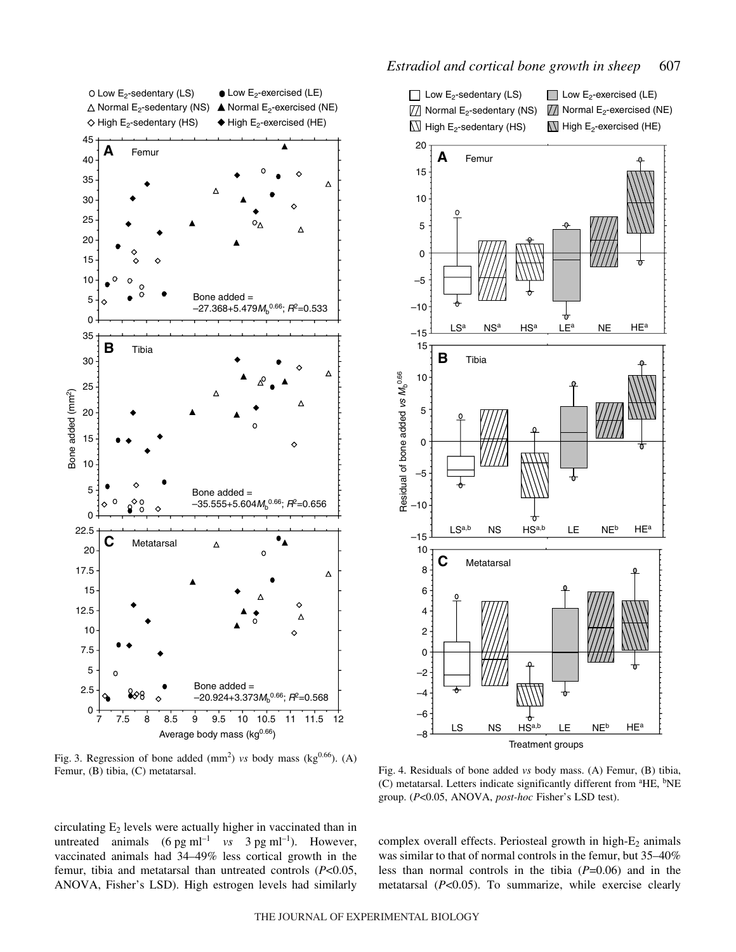

Fig. 3. Regression of bone added  $(mm<sup>2</sup>)$  *vs* body mass (kg<sup>0.66</sup>). (A) Femur, (B) tibia, (C) metatarsal.



Fig. 4. Residuals of bone added *vs* body mass. (A) Femur, (B) tibia, (C) metatarsal. Letters indicate significantly different from <sup>a</sup>HE, <sup>b</sup>NE group. (*P*<0.05, ANOVA, *post-hoc* Fisher's LSD test).

circulating  $E_2$  levels were actually higher in vaccinated than in untreated animals  $(6 \text{ pg ml}^{-1} \text{ vs } 3 \text{ pg ml}^{-1})$ . However, vaccinated animals had 34–49% less cortical growth in the femur, tibia and metatarsal than untreated controls (*P*<0.05, ANOVA, Fisher's LSD). High estrogen levels had similarly

complex overall effects. Periosteal growth in high- $E_2$  animals was similar to that of normal controls in the femur, but 35–40% less than normal controls in the tibia (*P*=0.06) and in the metatarsal (*P*<0.05). To summarize, while exercise clearly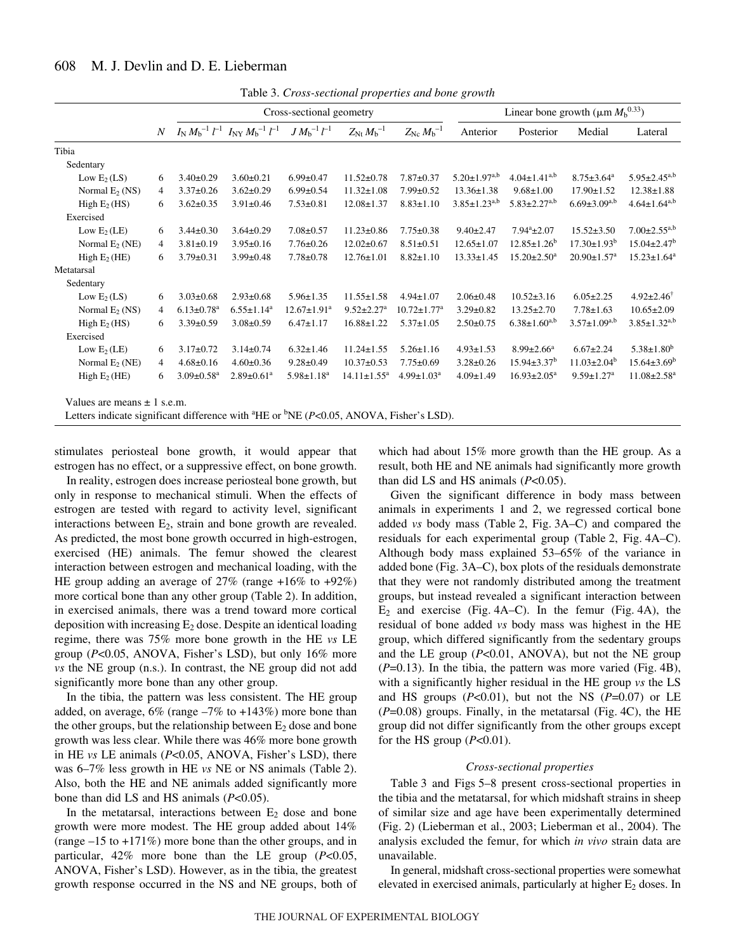|                                                                                                        |                  |                              |                                                                   | Cross-sectional geometry     |                               |                               |                       | Linear bone growth ( $\mu$ m $M_h^{0.33}$ ) |                               |                               |
|--------------------------------------------------------------------------------------------------------|------------------|------------------------------|-------------------------------------------------------------------|------------------------------|-------------------------------|-------------------------------|-----------------------|---------------------------------------------|-------------------------------|-------------------------------|
|                                                                                                        | $\boldsymbol{N}$ |                              | $I_{\rm N} M_{\rm b}^{-1} l^{-1} I_{\rm N} M_{\rm b}^{-1} l^{-1}$ | $J M_{\rm b}^{-1} l^{-1}$    | $Z_{\rm{Nt}} M_{\rm{b}}^{-1}$ | $Z_{\rm{Nc}} M_{\rm{b}}^{-1}$ | Anterior              | Posterior                                   | Medial                        | Lateral                       |
| Tibia                                                                                                  |                  |                              |                                                                   |                              |                               |                               |                       |                                             |                               |                               |
| Sedentary                                                                                              |                  |                              |                                                                   |                              |                               |                               |                       |                                             |                               |                               |
| Low $E_2(LS)$                                                                                          | 6                | $3.40 \pm 0.29$              | $3.60 \pm 0.21$                                                   | $6.99 \pm 0.47$              | $11.52 \pm 0.78$              | $7.87 \pm 0.37$               | $5.20 \pm 1.97^{a,b}$ | $4.04 \pm 1.41^{a,b}$                       | $8.75 \pm 3.64^a$             | $5.95 \pm 2.45^{a,b}$         |
| Normal $E_2$ (NS)                                                                                      | $\overline{4}$   | $3.37 \pm 0.26$              | $3.62 \pm 0.29$                                                   | $6.99 \pm 0.54$              | $11.32 \pm 1.08$              | $7.99 \pm 0.52$               | $13.36 \pm 1.38$      | $9.68 \pm 1.00$                             | $17.90 \pm 1.52$              | $12.38 \pm 1.88$              |
| High $E_2$ (HS)                                                                                        | 6                | $3.62 \pm 0.35$              | $3.91 \pm 0.46$                                                   | $7.53 \pm 0.81$              | $12.08 \pm 1.37$              | $8.83 \pm 1.10$               | $3.85 \pm 1.23^{a,b}$ | $5.83 \pm 2.27^{a,b}$                       | $6.69 \pm 3.09^{a,b}$         | $4.64 \pm 1.64^{a,b}$         |
| Exercised                                                                                              |                  |                              |                                                                   |                              |                               |                               |                       |                                             |                               |                               |
| Low $E_2$ (LE)                                                                                         | 6                | $3.44 \pm 0.30$              | $3.64 \pm 0.29$                                                   | $7.08 \pm 0.57$              | $11.23 \pm 0.86$              | $7.75 \pm 0.38$               | $9.40 \pm 2.47$       | $7.94^a \pm 2.07$                           | $15.52 \pm 3.50$              | $7.00 \pm 2.55^{a,b}$         |
| Normal $E_2$ (NE)                                                                                      | 4                | $3.81 \pm 0.19$              | $3.95 \pm 0.16$                                                   | $7.76 \pm 0.26$              | $12.02 \pm 0.67$              | $8.51 \pm 0.51$               | $12.65 \pm 1.07$      | $12.85 \pm 1.26^b$                          | $17.30 \pm 1.93^b$            | $15.04 \pm 2.47$ <sup>b</sup> |
| High $E_2$ (HE)                                                                                        | 6                | $3.79 \pm 0.31$              | $3.99 \pm 0.48$                                                   | $7.78 \pm 0.78$              | $12.76 \pm 1.01$              | $8.82 \pm 1.10$               | $13.33 \pm 1.45$      | $15.20 \pm 2.50^a$                          | $20.90 \pm 1.57$ <sup>a</sup> | $15.23 \pm 1.64^a$            |
| Metatarsal                                                                                             |                  |                              |                                                                   |                              |                               |                               |                       |                                             |                               |                               |
| Sedentary                                                                                              |                  |                              |                                                                   |                              |                               |                               |                       |                                             |                               |                               |
| Low $E_2(LS)$                                                                                          | 6                | $3.03 \pm 0.68$              | $2.93 \pm 0.68$                                                   | $5.96 \pm 1.35$              | $11.55 \pm 1.58$              | $4.94 \pm 1.07$               | $2.06 \pm 0.48$       | $10.52 \pm 3.16$                            | $6.05 \pm 2.25$               | $4.92 \pm 2.46^{\dagger}$     |
| Normal $E_2$ (NS)                                                                                      | 4                | $6.13 \pm 0.78$ <sup>a</sup> | $6.55 \pm 1.14$ <sup>a</sup>                                      | $12.67 \pm 1.91^a$           | $9.52 \pm 2.27$ <sup>a</sup>  | $10.72 \pm 1.77$ <sup>a</sup> | $3.29 \pm 0.82$       | $13.25 \pm 2.70$                            | $7.78 \pm 1.63$               | $10.65 \pm 2.09$              |
| High $E_2$ (HS)                                                                                        | 6                | $3.39 \pm 0.59$              | $3.08 \pm 0.59$                                                   | $6.47 \pm 1.17$              | $16.88 \pm 1.22$              | $5.37 \pm 1.05$               | $2.50 \pm 0.75$       | $6.38 \pm 1.60^{a,b}$                       | $3.57 \pm 1.09^{a,b}$         | $3.85 \pm 1.32^{a,b}$         |
| Exercised                                                                                              |                  |                              |                                                                   |                              |                               |                               |                       |                                             |                               |                               |
| Low $E_2$ (LE)                                                                                         | 6                | $3.17 \pm 0.72$              | $3.14 \pm 0.74$                                                   | $6.32 \pm 1.46$              | $11.24 \pm 1.55$              | $5.26 \pm 1.16$               | $4.93 \pm 1.53$       | $8.99 \pm 2.66^a$                           | $6.67 \pm 2.24$               | $5.38 \pm 1.80^b$             |
| Normal $E_2$ (NE)                                                                                      | 4                | $4.68 \pm 0.16$              | $4.60 \pm 0.36$                                                   | $9.28 \pm 0.49$              | $10.37 \pm 0.53$              | $7.75 \pm 0.69$               | $3.28 \pm 0.26$       | $15.94 \pm 3.37^b$                          | $11.03 \pm 2.04^b$            | $15.64 \pm 3.69^b$            |
| High $E_2$ (HE)                                                                                        | 6                | $3.09 \pm 0.58$ <sup>a</sup> | $2.89 \pm 0.61$ <sup>a</sup>                                      | $5.98 \pm 1.18$ <sup>a</sup> | $14.11 \pm 1.55^a$            | $4.99 \pm 1.03^a$             | $4.09 \pm 1.49$       | $16.93 \pm 2.05^a$                          | $9.59 \pm 1.27$ <sup>a</sup>  | $11.08 \pm 2.58$ <sup>a</sup> |
| Values are means $\pm$ 1 s.e.m.                                                                        |                  |                              |                                                                   |                              |                               |                               |                       |                                             |                               |                               |
| Letters indicate significant difference with ${}^{4}$ HE or ${}^{b}$ NE (P<0.05, ANOVA, Fisher's LSD). |                  |                              |                                                                   |                              |                               |                               |                       |                                             |                               |                               |

Table·3. *Cross-sectional properties and bone growth*

stimulates periosteal bone growth, it would appear that estrogen has no effect, or a suppressive effect, on bone growth.

In reality, estrogen does increase periosteal bone growth, but only in response to mechanical stimuli. When the effects of estrogen are tested with regard to activity level, significant interactions between  $E_2$ , strain and bone growth are revealed. As predicted, the most bone growth occurred in high-estrogen, exercised (HE) animals. The femur showed the clearest interaction between estrogen and mechanical loading, with the HE group adding an average of 27% (range +16% to +92%) more cortical bone than any other group (Table 2). In addition, in exercised animals, there was a trend toward more cortical deposition with increasing  $E_2$  dose. Despite an identical loading regime, there was 75% more bone growth in the HE *vs* LE group (*P*<0.05, ANOVA, Fisher's LSD), but only 16% more *vs* the NE group (n.s.). In contrast, the NE group did not add significantly more bone than any other group.

In the tibia, the pattern was less consistent. The HE group added, on average,  $6\%$  (range  $-7\%$  to  $+143\%$ ) more bone than the other groups, but the relationship between  $E_2$  dose and bone growth was less clear. While there was 46% more bone growth in HE *vs* LE animals (*P*<0.05, ANOVA, Fisher's LSD), there was 6–7% less growth in HE *vs* NE or NS animals (Table 2). Also, both the HE and NE animals added significantly more bone than did LS and HS animals (*P*<0.05).

In the metatarsal, interactions between  $E_2$  dose and bone growth were more modest. The HE group added about 14% (range  $-15$  to  $+171\%$ ) more bone than the other groups, and in particular, 42% more bone than the LE group (*P*<0.05, ANOVA, Fisher's LSD). However, as in the tibia, the greatest growth response occurred in the NS and NE groups, both of which had about 15% more growth than the HE group. As a result, both HE and NE animals had significantly more growth than did LS and HS animals (*P*<0.05).

Given the significant difference in body mass between animals in experiments 1 and 2, we regressed cortical bone added *vs* body mass (Table 2, Fig. 3A–C) and compared the residuals for each experimental group (Table 2, Fig. 4A–C). Although body mass explained 53–65% of the variance in added bone (Fig. 3A–C), box plots of the residuals demonstrate that they were not randomly distributed among the treatment groups, but instead revealed a significant interaction between  $E_2$  and exercise (Fig. 4A–C). In the femur (Fig. 4A), the residual of bone added *vs* body mass was highest in the HE group, which differed significantly from the sedentary groups and the LE group  $(P<0.01, ANOVA)$ , but not the NE group  $(P=0.13)$ . In the tibia, the pattern was more varied (Fig. 4B), with a significantly higher residual in the HE group *vs* the LS and HS groups  $(P<0.01)$ , but not the NS  $(P=0.07)$  or LE  $(P=0.08)$  groups. Finally, in the metatarsal (Fig. 4C), the HE group did not differ significantly from the other groups except for the HS group  $(P<0.01)$ .

#### *Cross-sectional properties*

Table 3 and Figs 5–8 present cross-sectional properties in the tibia and the metatarsal, for which midshaft strains in sheep of similar size and age have been experimentally determined (Fig. 2) (Lieberman et al., 2003; Lieberman et al., 2004). The analysis excluded the femur, for which *in vivo* strain data are unavailable.

In general, midshaft cross-sectional properties were somewhat elevated in exercised animals, particularly at higher  $E_2$  doses. In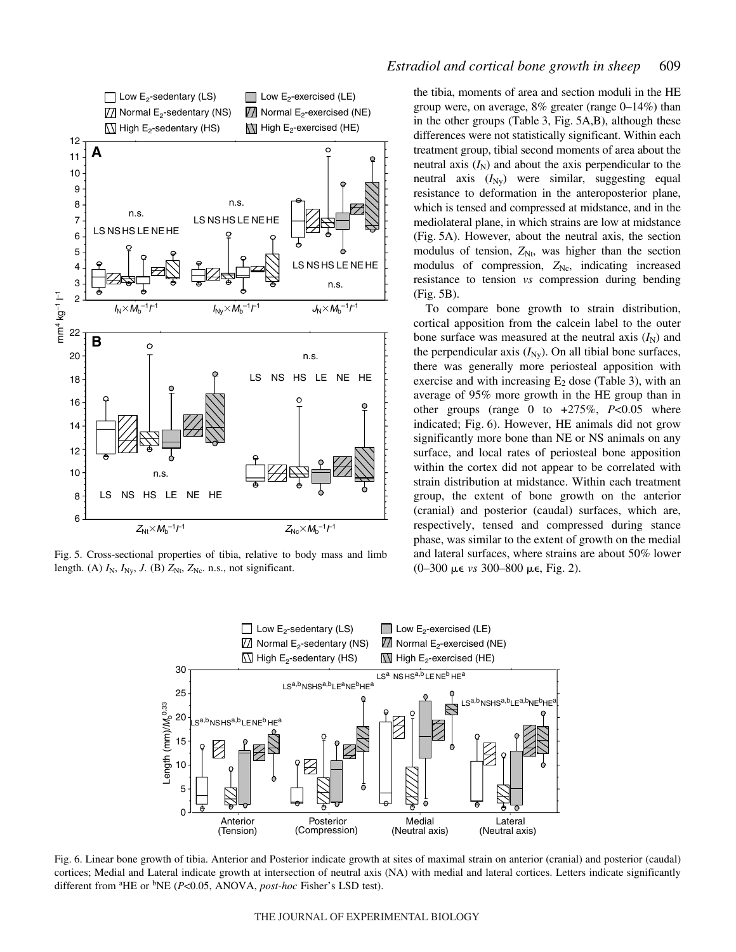

Fig. 5. Cross-sectional properties of tibia, relative to body mass and limb length. (A)  $I_N$ ,  $I_{Ny}$ ,  $J$ . (B)  $Z_{Nt}$ ,  $Z_{Nc}$ . n.s., not significant.

the tibia, moments of area and section moduli in the HE group were, on average,  $8\%$  greater (range  $0\n-14\%$ ) than in the other groups (Table 3, Fig.  $5A,B$ ), although these differences were not statistically significant. Within each treatment group, tibial second moments of area about the neutral axis  $(I_N)$  and about the axis perpendicular to the neutral axis  $(I_{\text{Ny}})$  were similar, suggesting equal resistance to deformation in the anteroposterior plane, which is tensed and compressed at midstance, and in the mediolateral plane, in which strains are low at midstance (Fig. 5A). However, about the neutral axis, the section modulus of tension,  $Z_{Nt}$ , was higher than the section modulus of compression,  $Z_{\text{Nc}}$ , indicating increased resistance to tension *vs* compression during bending  $(Fig. 5B)$ .

To compare bone growth to strain distribution, cortical apposition from the calcein label to the outer bone surface was measured at the neutral axis  $(I_N)$  and the perpendicular axis  $(I_{\text{Ny}})$ . On all tibial bone surfaces, there was generally more periosteal apposition with exercise and with increasing  $E_2$  dose (Table 3), with an average of 95% more growth in the HE group than in other groups (range 0 to +275%, *P*<0.05 where indicated; Fig. 6). However, HE animals did not grow significantly more bone than NE or NS animals on any surface, and local rates of periosteal bone apposition within the cortex did not appear to be correlated with strain distribution at midstance. Within each treatment group, the extent of bone growth on the anterior (cranial) and posterior (caudal) surfaces, which are, respectively, tensed and compressed during stance phase, was similar to the extent of growth on the medial and lateral surfaces, where strains are about 50% lower (0-300 με *vs* 300-800 με, Fig. 2).



Fig. 6. Linear bone growth of tibia. Anterior and Posterior indicate growth at sites of maximal strain on anterior (cranial) and posterior (caudal) cortices; Medial and Lateral indicate growth at intersection of neutral axis (NA) with medial and lateral cortices. Letters indicate significantly different from <sup>a</sup>HE or <sup>b</sup>NE (*P<*0.05, ANOVA, *post-hoc* Fisher's LSD test).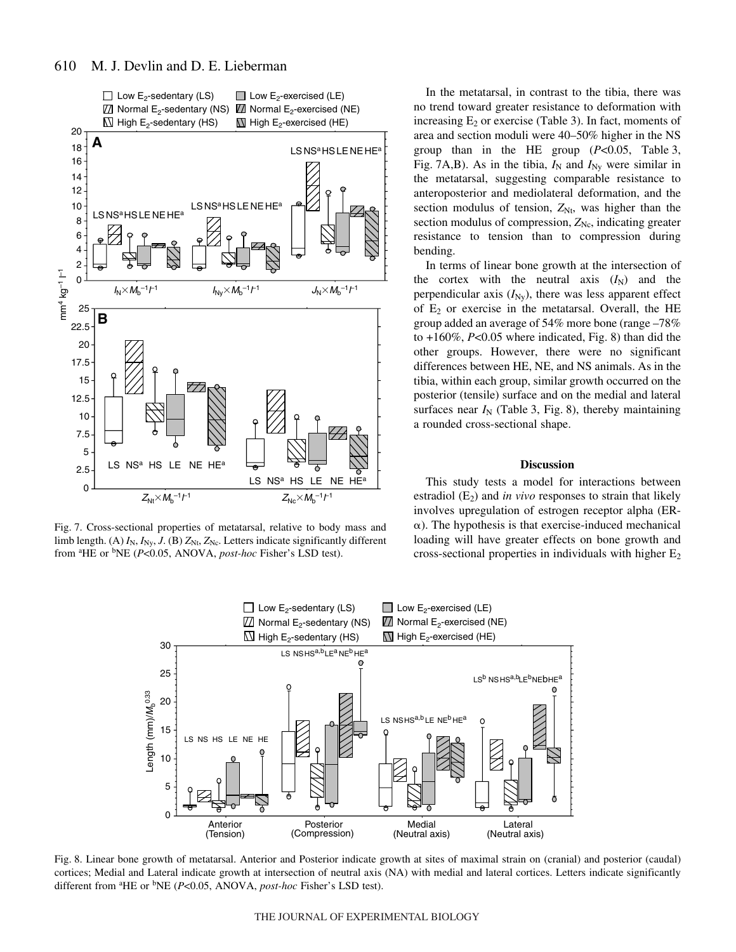

Fig. 7. Cross-sectional properties of metatarsal, relative to body mass and limb length. (A)  $I_N$ ,  $I_{Ny}$ ,  $J$ . (B)  $Z_{Nt}$ ,  $Z_{Nc}$ . Letters indicate significantly different from <sup>a</sup>HE or <sup>b</sup>NE (*P<*0.05, ANOVA, *post-hoc* Fisher's LSD test).

In the metatarsal, in contrast to the tibia, there was no trend toward greater resistance to deformation with increasing  $E_2$  or exercise (Table 3). In fact, moments of area and section moduli were 40–50% higher in the NS group than in the HE group  $(P<0.05$ , Table 3, Fig. 7A,B). As in the tibia,  $I_N$  and  $I_{Ny}$  were similar in the metatarsal, suggesting comparable resistance to anteroposterior and mediolateral deformation, and the section modulus of tension,  $Z_{Nt}$ , was higher than the section modulus of compression,  $Z_{\text{Nc}}$ , indicating greater resistance to tension than to compression during bending.

In terms of linear bone growth at the intersection of the cortex with the neutral axis  $(I_N)$  and the perpendicular axis  $(I_{\text{Ny}})$ , there was less apparent effect of  $E_2$  or exercise in the metatarsal. Overall, the HE group added an average of 54% more bone (range –78% to  $+160\%$ ,  $P<0.05$  where indicated, Fig. 8) than did the other groups. However, there were no significant differences between HE, NE, and NS animals. As in the tibia, within each group, similar growth occurred on the posterior (tensile) surface and on the medial and lateral surfaces near  $I_N$  (Table 3, Fig. 8), thereby maintaining a rounded cross-sectional shape.

#### **Discussion**

This study tests a model for interactions between estradiol  $(E_2)$  and *in vivo* responses to strain that likely involves upregulation of estrogen receptor alpha (ER-  $\alpha$ ). The hypothesis is that exercise-induced mechanical loading will have greater effects on bone growth and cross-sectional properties in individuals with higher  $E_2$ 



Fig. 8. Linear bone growth of metatarsal. Anterior and Posterior indicate growth at sites of maximal strain on (cranial) and posterior (caudal) cortices; Medial and Lateral indicate growth at intersection of neutral axis (NA) with medial and lateral cortices. Letters indicate significantly different from <sup>a</sup>HE or <sup>b</sup>NE (*P<*0.05, ANOVA, *post-hoc* Fisher's LSD test).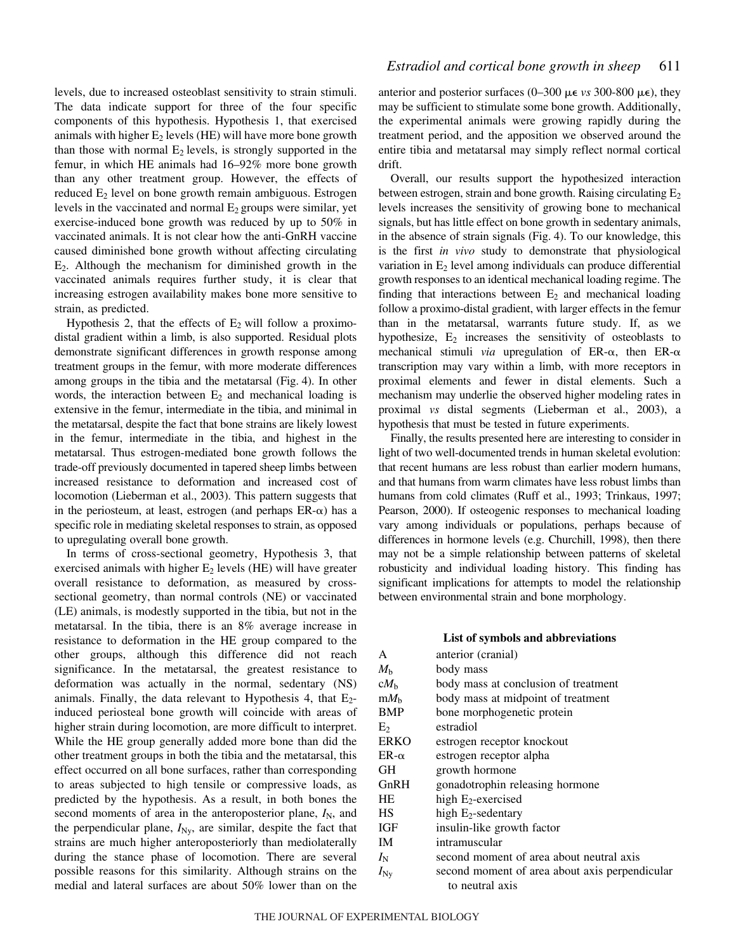levels, due to increased osteoblast sensitivity to strain stimuli. The data indicate support for three of the four specific components of this hypothesis. Hypothesis 1, that exercised animals with higher  $E_2$  levels (HE) will have more bone growth than those with normal  $E_2$  levels, is strongly supported in the femur, in which HE animals had 16–92% more bone growth than any other treatment group. However, the effects of reduced  $E_2$  level on bone growth remain ambiguous. Estrogen levels in the vaccinated and normal  $E_2$  groups were similar, yet exercise-induced bone growth was reduced by up to 50% in vaccinated animals. It is not clear how the anti-GnRH vaccine caused diminished bone growth without affecting circulating  $E_2$ . Although the mechanism for diminished growth in the vaccinated animals requires further study, it is clear that increasing estrogen availability makes bone more sensitive to strain, as predicted.

Hypothesis 2, that the effects of  $E_2$  will follow a proximodistal gradient within a limb, is also supported. Residual plots demonstrate significant differences in growth response among treatment groups in the femur, with more moderate differences among groups in the tibia and the metatarsal (Fig. 4). In other words, the interaction between  $E_2$  and mechanical loading is extensive in the femur, intermediate in the tibia, and minimal in the metatarsal, despite the fact that bone strains are likely lowest in the femur, intermediate in the tibia, and highest in the metatarsal. Thus estrogen-mediated bone growth follows the trade-off previously documented in tapered sheep limbs between increased resistance to deformation and increased cost of locomotion (Lieberman et al., 2003). This pattern suggests that in the periosteum, at least, estrogen (and perhaps  $ER-\alpha$ ) has a specific role in mediating skeletal responses to strain, as opposed to upregulating overall bone growth.

In terms of cross-sectional geometry, Hypothesis 3, that exercised animals with higher  $E_2$  levels (HE) will have greater overall resistance to deformation, as measured by crosssectional geometry, than normal controls (NE) or vaccinated (LE) animals, is modestly supported in the tibia, but not in the metatarsal. In the tibia, there is an 8% average increase in resistance to deformation in the HE group compared to the other groups, although this difference did not reach significance. In the metatarsal, the greatest resistance to deformation was actually in the normal, sedentary (NS) animals. Finally, the data relevant to Hypothesis 4, that  $E_2$ induced periosteal bone growth will coincide with areas of higher strain during locomotion, are more difficult to interpret. While the HE group generally added more bone than did the other treatment groups in both the tibia and the metatarsal, this effect occurred on all bone surfaces, rather than corresponding to areas subjected to high tensile or compressive loads, as predicted by the hypothesis. As a result, in both bones the second moments of area in the anteroposterior plane,  $I_N$ , and the perpendicular plane,  $I_{\text{Ny}}$ , are similar, despite the fact that strains are much higher anteroposteriorly than mediolaterally during the stance phase of locomotion. There are several possible reasons for this similarity. Although strains on the medial and lateral surfaces are about 50% lower than on the

anterior and posterior surfaces  $(0-300 \mu \epsilon \nu s \cdot 300-800 \mu \epsilon)$ , they may be sufficient to stimulate some bone growth. Additionally, the experimental animals were growing rapidly during the treatment period, and the apposition we observed around the entire tibia and metatarsal may simply reflect normal cortical drift.

Overall, our results support the hypothesized interaction between estrogen, strain and bone growth. Raising circulating  $E_2$ levels increases the sensitivity of growing bone to mechanical signals, but has little effect on bone growth in sedentary animals, in the absence of strain signals (Fig. 4). To our knowledge, this is the first *in vivo* study to demonstrate that physiological variation in  $E_2$  level among individuals can produce differential growth responses to an identical mechanical loading regime. The finding that interactions between  $E_2$  and mechanical loading follow a proximo-distal gradient, with larger effects in the femur than in the metatarsal, warrants future study. If, as we hypothesize,  $E_2$  increases the sensitivity of osteoblasts to mechanical stimuli *via* upregulation of ER- $\alpha$ , then ER- $\alpha$ transcription may vary within a limb, with more receptors in proximal elements and fewer in distal elements. Such a mechanism may underlie the observed higher modeling rates in proximal *vs* distal segments (Lieberman et al., 2003), a hypothesis that must be tested in future experiments.

Finally, the results presented here are interesting to consider in light of two well-documented trends in human skeletal evolution: that recent humans are less robust than earlier modern humans, and that humans from warm climates have less robust limbs than humans from cold climates (Ruff et al., 1993; Trinkaus, 1997; Pearson, 2000). If osteogenic responses to mechanical loading vary among individuals or populations, perhaps because of differences in hormone levels (e.g. Churchill, 1998), then there may not be a simple relationship between patterns of skeletal robusticity and individual loading history. This finding has significant implications for attempts to model the relationship between environmental strain and bone morphology.

#### **List of symbols and abbreviations**

| anterior (cranial)                             |
|------------------------------------------------|
| body mass                                      |
| body mass at conclusion of treatment           |
| body mass at midpoint of treatment             |
| bone morphogenetic protein                     |
| estradiol                                      |
| estrogen receptor knockout                     |
| estrogen receptor alpha                        |
| growth hormone                                 |
| gonadotrophin releasing hormone                |
| high $E_2$ -exercised                          |
| high $E_2$ -sedentary                          |
| insulin-like growth factor                     |
| intramuscular                                  |
| second moment of area about neutral axis       |
| second moment of area about axis perpendicular |
| to neutral axis                                |
|                                                |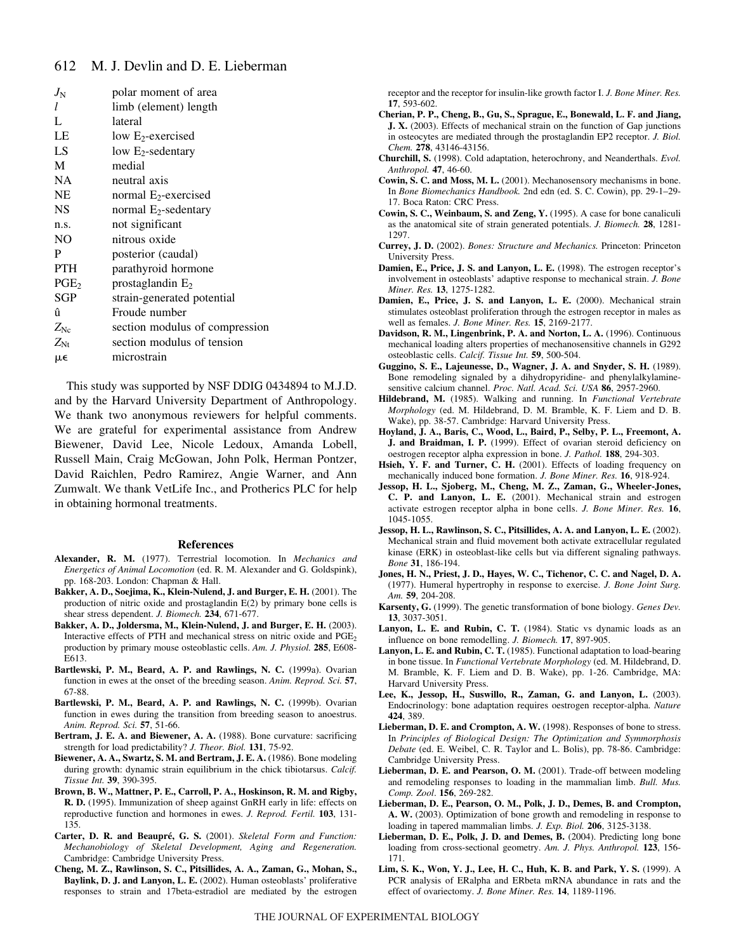| $J_{\rm N}$      | polar moment of area           |
|------------------|--------------------------------|
| 1                | limb (element) length          |
| L                | lateral                        |
| LE               | low $E_2$ -exercised           |
| LS               | low $E_2$ -sedentary           |
| M                | medial                         |
| <b>NA</b>        | neutral axis                   |
| <b>NE</b>        | normal $E_2$ -exercised        |
| <b>NS</b>        | normal $E_2$ -sedentary        |
| n.s.             | not significant                |
| NO               | nitrous oxide                  |
| P                | posterior (caudal)             |
| <b>PTH</b>       | parathyroid hormone            |
| PGE <sub>2</sub> | prostaglandin $E_2$            |
| SGP              | strain-generated potential     |
| û                | Froude number                  |
| $Z_{\rm Ne}$     | section modulus of compression |
| $Z_{\rm Nt}$     | section modulus of tension     |
| µ€               | microstrain                    |

This study was supported by NSF DDIG 0434894 to M.J.D. and by the Harvard University Department of Anthropology. We thank two anonymous reviewers for helpful comments. We are grateful for experimental assistance from Andrew Biewener, David Lee, Nicole Ledoux, Amanda Lobell, Russell Main, Craig McGowan, John Polk, Herman Pontzer, David Raichlen, Pedro Ramirez, Angie Warner, and Ann Zumwalt. We thank VetLife Inc., and Protherics PLC for help in obtaining hormonal treatments.

#### **References**

- **Alexander, R. M.** (1977). Terrestrial locomotion. In *Mechanics and Energetics of Animal Locomotion* (ed. R. M. Alexander and G. Goldspink), pp. 168-203. London: Chapman & Hall.
- **Bakker, A. D., Soejima, K., Klein-Nulend, J. and Burger, E. H.** (2001). The production of nitric oxide and prostaglandin E(2) by primary bone cells is shear stress dependent. *J. Biomech.* **234**, 671-677.
- **Bakker, A. D., Joldersma, M., Klein-Nulend, J. and Burger, E. H.** (2003). Interactive effects of PTH and mechanical stress on nitric oxide and  $PGE<sub>2</sub>$ production by primary mouse osteoblastic cells. *Am. J. Physiol.* **285**, E608- E613.
- **Bartlewski, P. M., Beard, A. P. and Rawlings, N. C.** (1999a). Ovarian function in ewes at the onset of the breeding season. *Anim. Reprod. Sci.* **57**, 67-88.
- **Bartlewski, P. M., Beard, A. P. and Rawlings, N. C.** (1999b). Ovarian function in ewes during the transition from breeding season to anoestrus. *Anim. Reprod. Sci.* **57**, 51-66.
- **Bertram, J. E. A. and Biewener, A. A.** (1988). Bone curvature: sacrificing strength for load predictability? *J. Theor. Biol.* **131**, 75-92.
- **Biewener, A. A., Swartz, S. M. and Bertram, J. E. A.** (1986). Bone modeling during growth: dynamic strain equilibrium in the chick tibiotarsus. *Calcif. Tissue Int.* **39**, 390-395.
- **Brown, B. W., Mattner, P. E., Carroll, P. A., Hoskinson, R. M. and Rigby, R. D.** (1995). Immunization of sheep against GnRH early in life: effects on reproductive function and hormones in ewes. *J. Reprod. Fertil.* **103**, 131- 135.
- **Carter, D. R. and Beaupré, G. S.** (2001). *Skeletal Form and Function: Mechanobiology of Skeletal Development, Aging and Regeneration.* Cambridge: Cambridge University Press.
- **Cheng, M. Z., Rawlinson, S. C., Pitsillides, A. A., Zaman, G., Mohan, S., Baylink, D. J. and Lanyon, L. E.** (2002). Human osteoblasts' proliferative responses to strain and 17beta-estradiol are mediated by the estrogen

receptor and the receptor for insulin-like growth factor I. *J. Bone Miner. Res.* **17**, 593-602.

- **Cherian, P. P., Cheng, B., Gu, S., Sprague, E., Bonewald, L. F. and Jiang, J. X.** (2003). Effects of mechanical strain on the function of Gap junctions in osteocytes are mediated through the prostaglandin EP2 receptor. *J. Biol. Chem.* **278**, 43146-43156.
- **Churchill, S.** (1998). Cold adaptation, heterochrony, and Neanderthals. *Evol. Anthropol.* **47**, 46-60.
- **Cowin, S. C. and Moss, M. L.** (2001). Mechanosensory mechanisms in bone. In *Bone Biomechanics Handbook.* 2nd edn (ed. S. C. Cowin), pp. 29-1–29- 17. Boca Raton: CRC Press.
- **Cowin, S. C., Weinbaum, S. and Zeng, Y.** (1995). A case for bone canaliculi as the anatomical site of strain generated potentials. *J. Biomech.* **28**, 1281- 1297.
- **Currey, J. D.** (2002). *Bones: Structure and Mechanics.* Princeton: Princeton University Press.
- **Damien, E., Price, J. S. and Lanyon, L. E.** (1998). The estrogen receptor's involvement in osteoblasts' adaptive response to mechanical strain. *J. Bone Miner. Res.* **13**, 1275-1282.
- **Damien, E., Price, J. S. and Lanyon, L. E.** (2000). Mechanical strain stimulates osteoblast proliferation through the estrogen receptor in males as well as females. *J. Bone Miner. Res.* **15**, 2169-2177.
- **Davidson, R. M., Lingenbrink, P. A. and Norton, L. A.** (1996). Continuous mechanical loading alters properties of mechanosensitive channels in G292 osteoblastic cells. *Calcif. Tissue Int.* **59**, 500-504.
- **Guggino, S. E., Lajeunesse, D., Wagner, J. A. and Snyder, S. H.** (1989). Bone remodeling signaled by a dihydropyridine- and phenylalkylaminesensitive calcium channel. *Proc. Natl. Acad. Sci. USA* **86**, 2957-2960.
- **Hildebrand, M.** (1985). Walking and running. In *Functional Vertebrate Morphology* (ed. M. Hildebrand, D. M. Bramble, K. F. Liem and D. B. Wake), pp. 38-57. Cambridge: Harvard University Press.
- **Hoyland, J. A., Baris, C., Wood, L., Baird, P., Selby, P. L., Freemont, A. J. and Braidman, I. P.** (1999). Effect of ovarian steroid deficiency on oestrogen receptor alpha expression in bone. *J. Pathol.* **188**, 294-303.
- **Hsieh, Y. F. and Turner, C. H.** (2001). Effects of loading frequency on mechanically induced bone formation. *J. Bone Miner. Res.* **16**, 918-924.
- **Jessop, H. L., Sjoberg, M., Cheng, M. Z., Zaman, G., Wheeler-Jones, C. P. and Lanyon, L. E.** (2001). Mechanical strain and estrogen activate estrogen receptor alpha in bone cells. *J. Bone Miner. Res.* **16**, 1045-1055.
- **Jessop, H. L., Rawlinson, S. C., Pitsillides, A. A. and Lanyon, L. E.** (2002). Mechanical strain and fluid movement both activate extracellular regulated kinase (ERK) in osteoblast-like cells but via different signaling pathways. *Bone* **31**, 186-194.
- **Jones, H. N., Priest, J. D., Hayes, W. C., Tichenor, C. C. and Nagel, D. A.** (1977). Humeral hypertrophy in response to exercise. *J. Bone Joint Surg. Am.* **59**, 204-208.
- **Karsenty, G.** (1999). The genetic transformation of bone biology. *Genes Dev.* **13**, 3037-3051.
- Lanyon, L. E. and Rubin, C. T. (1984). Static vs dynamic loads as an influence on bone remodelling. *J. Biomech.* **17**, 897-905.
- **Lanyon, L. E. and Rubin, C. T.** (1985). Functional adaptation to load-bearing in bone tissue. In *Functional Vertebrate Morphology* (ed. M. Hildebrand, D. M. Bramble, K. F. Liem and D. B. Wake), pp. 1-26. Cambridge, MA: Harvard University Press.
- **Lee, K., Jessop, H., Suswillo, R., Zaman, G. and Lanyon, L.** (2003). Endocrinology: bone adaptation requires oestrogen receptor-alpha. *Nature* **424**, 389.
- **Lieberman, D. E. and Crompton, A. W.** (1998). Responses of bone to stress. In *Principles of Biological Design: The Optimization and Symmorphosis Debate* (ed. E. Weibel, C. R. Taylor and L. Bolis), pp. 78-86. Cambridge: Cambridge University Press.
- **Lieberman, D. E. and Pearson, O. M.** (2001). Trade-off between modeling and remodeling responses to loading in the mammalian limb. *Bull. Mus. Comp. Zool*. **156**, 269-282.
- **Lieberman, D. E., Pearson, O. M., Polk, J. D., Demes, B. and Crompton, A. W.** (2003). Optimization of bone growth and remodeling in response to loading in tapered mammalian limbs. *J. Exp. Biol.* **206**, 3125-3138.
- **Lieberman, D. E., Polk, J. D. and Demes, B.** (2004). Predicting long bone loading from cross-sectional geometry. *Am. J. Phys. Anthropol.* **123**, 156- 171.
- **Lim, S. K., Won, Y. J., Lee, H. C., Huh, K. B. and Park, Y. S.** (1999). A PCR analysis of ERalpha and ERbeta mRNA abundance in rats and the effect of ovariectomy. *J. Bone Miner. Res.* **14**, 1189-1196.